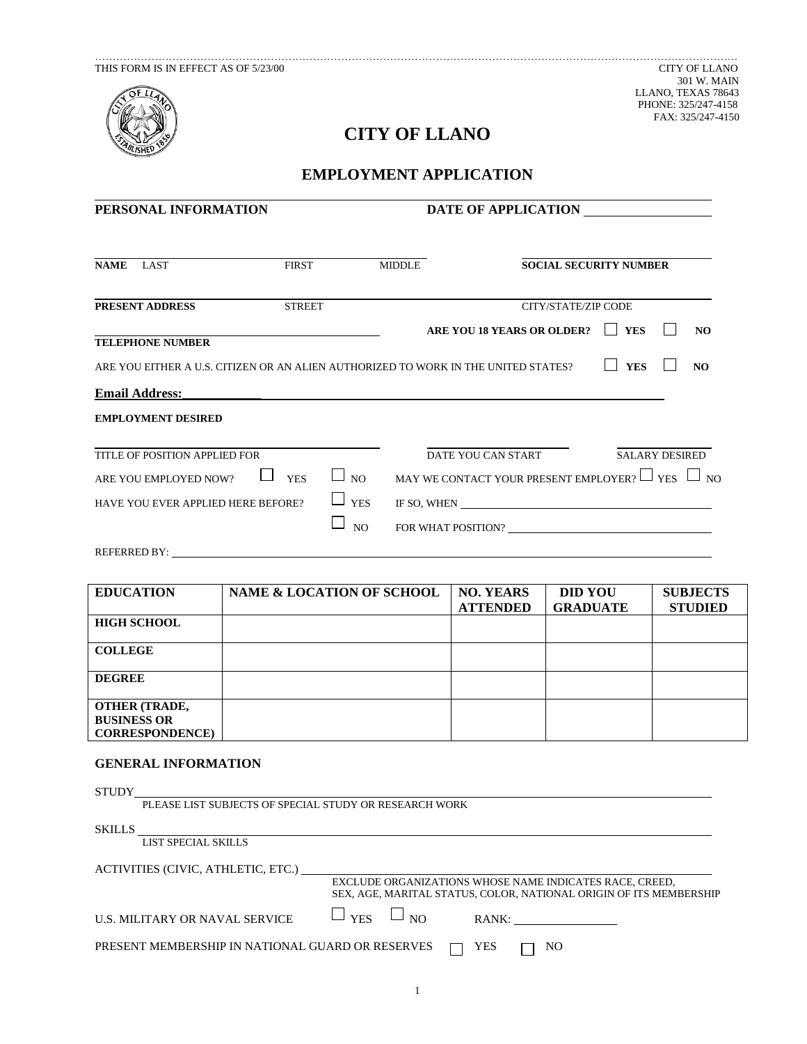

THIS FORM IS IN EFFECT AS OF 5/23/00 CITY OF LLANO LLANO, TEXAS 78643 PHONE: 325/247-4158 FAX: 325/247-4150

# **CITY OF LLANO**

## **EMPLOYMENT APPLICATION**

| PERSONAL INFORMATION                                                                                        |                 | DATE OF APPLICATION                                                                                                                      |  |  |
|-------------------------------------------------------------------------------------------------------------|-----------------|------------------------------------------------------------------------------------------------------------------------------------------|--|--|
| NAME LAST                                                                                                   | FIRST<br>MIDDLE | <b>SOCIAL SECURITY NUMBER</b>                                                                                                            |  |  |
| PRESENT ADDRESS<br><b>STREET</b>                                                                            |                 | CITY/STATE/ZIP CODE                                                                                                                      |  |  |
| <u> 1989 - Johann Barn, amerikansk politiker (</u><br><b>TELEPHONE NUMBER</b>                               |                 | ARE YOU 18 YEARS OR OLDER? TES<br>N <sub>O</sub>                                                                                         |  |  |
| ARE YOU EITHER A U.S. CITIZEN OR AN ALIEN AUTHORIZED TO WORK IN THE UNITED STATES?<br><b>Email Address:</b> |                 | $\Box$ YES<br>NO<br><u> 1989 - Johann John Stone, markin sanat a shekara ta 1989 - An tsa markin sa shekara tsa 1989.               </u> |  |  |
| <b>EMPLOYMENT DESIRED</b>                                                                                   |                 |                                                                                                                                          |  |  |
| TITLE OF POSITION APPLIED FOR                                                                               |                 | DATE YOU CAN START SALARY DESIRED                                                                                                        |  |  |
| ARE YOU EMPLOYED NOW? $\Box$ YES                                                                            | $\Box$ NO       | MAY WE CONTACT YOUR PRESENT EMPLOYER? $\Box$ YES $\Box$ NO                                                                               |  |  |
| HAVE YOU EVER APPLIED HERE BEFORE?                                                                          | $\Box$ YES      | IF SO, WHEN                                                                                                                              |  |  |
|                                                                                                             | NO              |                                                                                                                                          |  |  |
|                                                                                                             |                 |                                                                                                                                          |  |  |

| <b>EDUCATION</b>                                                     | NAME & LOCATION OF SCHOOL | <b>NO. YEARS</b> | <b>DID YOU</b>  | <b>SUBJECTS</b> |
|----------------------------------------------------------------------|---------------------------|------------------|-----------------|-----------------|
|                                                                      |                           | <b>ATTENDED</b>  | <b>GRADUATE</b> | <b>STUDIED</b>  |
| <b>HIGH SCHOOL</b>                                                   |                           |                  |                 |                 |
| <b>COLLEGE</b>                                                       |                           |                  |                 |                 |
| <b>DEGREE</b>                                                        |                           |                  |                 |                 |
| <b>OTHER (TRADE,</b><br><b>BUSINESS OR</b><br><b>CORRESPONDENCE)</b> |                           |                  |                 |                 |

## **GENERAL INFORMATION**

| <b>STUDY</b>                                           |                                                                                                                               |
|--------------------------------------------------------|-------------------------------------------------------------------------------------------------------------------------------|
| PLEASE LIST SUBJECTS OF SPECIAL STUDY OR RESEARCH WORK |                                                                                                                               |
| <b>SKILLS</b>                                          |                                                                                                                               |
| LIST SPECIAL SKILLS                                    |                                                                                                                               |
| ACTIVITIES (CIVIC, ATHLETIC, ETC.)                     |                                                                                                                               |
|                                                        | EXCLUDE ORGANIZATIONS WHOSE NAME INDICATES RACE, CREED,<br>SEX. AGE. MARITAL STATUS, COLOR. NATIONAL ORIGIN OF ITS MEMBERSHIP |
| <b>U.S. MILITARY OR NAVAL SERVICE</b>                  | $\Box$ YES<br>$\Box$ NO<br>RANK:                                                                                              |
| PRESENT MEMBERSHIP IN NATIONAL GUARD OR RESERVES       | YES<br>NO                                                                                                                     |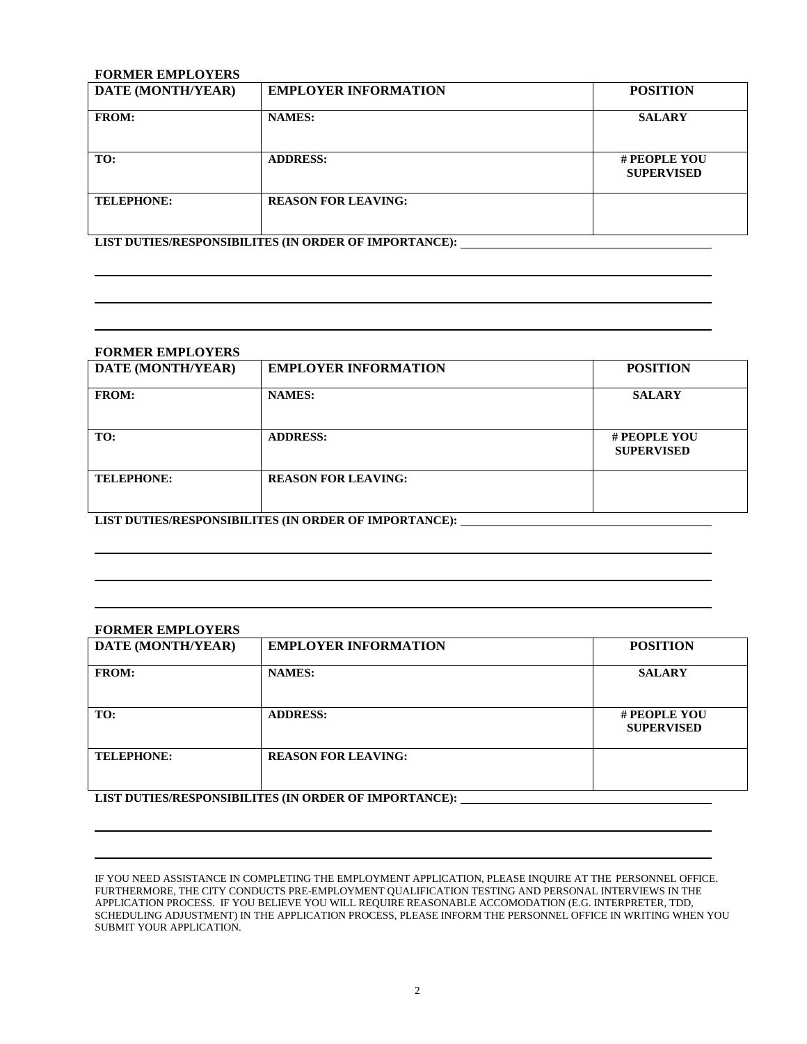## **FORMER EMPLOYERS**

| <b>DATE (MONTH/YEAR)</b>                              | <b>EMPLOYER INFORMATION</b> | <b>POSITION</b>                   |  |
|-------------------------------------------------------|-----------------------------|-----------------------------------|--|
| <b>FROM:</b>                                          | <b>NAMES:</b>               | <b>SALARY</b>                     |  |
| TO:                                                   | <b>ADDRESS:</b>             | # PEOPLE YOU<br><b>SUPERVISED</b> |  |
| <b>TELEPHONE:</b>                                     | <b>REASON FOR LEAVING:</b>  |                                   |  |
| LIST DUTIES/RESPONSIBILITES (IN ORDER OF IMPORTANCE): |                             |                                   |  |

| <b>FORMER EMPLOYERS</b>                               |                             |                                   |  |
|-------------------------------------------------------|-----------------------------|-----------------------------------|--|
| DATE (MONTH/YEAR)                                     | <b>EMPLOYER INFORMATION</b> | <b>POSITION</b>                   |  |
| <b>FROM:</b>                                          | <b>NAMES:</b>               | <b>SALARY</b>                     |  |
| TO:                                                   | <b>ADDRESS:</b>             | # PEOPLE YOU<br><b>SUPERVISED</b> |  |
| <b>TELEPHONE:</b>                                     | <b>REASON FOR LEAVING:</b>  |                                   |  |
| LIST DUTIES/RESPONSIBILITES (IN ORDER OF IMPORTANCE): |                             |                                   |  |

### **FORMER EMPLOYERS**

| <b>DATE (MONTH/YEAR)</b>                         | <b>EMPLOYER INFORMATION</b> | <b>POSITION</b>                   |  |
|--------------------------------------------------|-----------------------------|-----------------------------------|--|
| <b>FROM:</b>                                     | <b>NAMES:</b>               | <b>SALARY</b>                     |  |
| TO:                                              | <b>ADDRESS:</b>             | # PEOPLE YOU<br><b>SUPERVISED</b> |  |
| <b>TELEPHONE:</b>                                | <b>REASON FOR LEAVING:</b>  |                                   |  |
| LIGE BUERES DRSDAMSELIGES (BLADBER AR BJORELMAR) |                             |                                   |  |

**LIST DUTIES/RESPONSIBILITES (IN ORDER OF IMPORTANCE):** 

IF YOU NEED ASSISTANCE IN COMPLETING THE EMPLOYMENT APPLICATION, PLEASE INQUIRE AT THE PERSONNEL OFFICE. FURTHERMORE, THE CITY CONDUCTS PRE-EMPLOYMENT QUALIFICATION TESTING AND PERSONAL INTERVIEWS IN THE APPLICATION PROCESS. IF YOU BELIEVE YOU WILL REQUIRE REASONABLE ACCOMODATION (E.G. INTERPRETER, TDD, SCHEDULING ADJUSTMENT) IN THE APPLICATION PROCESS, PLEASE INFORM THE PERSONNEL OFFICE IN WRITING WHEN YOU SUBMIT YOUR APPLICATION.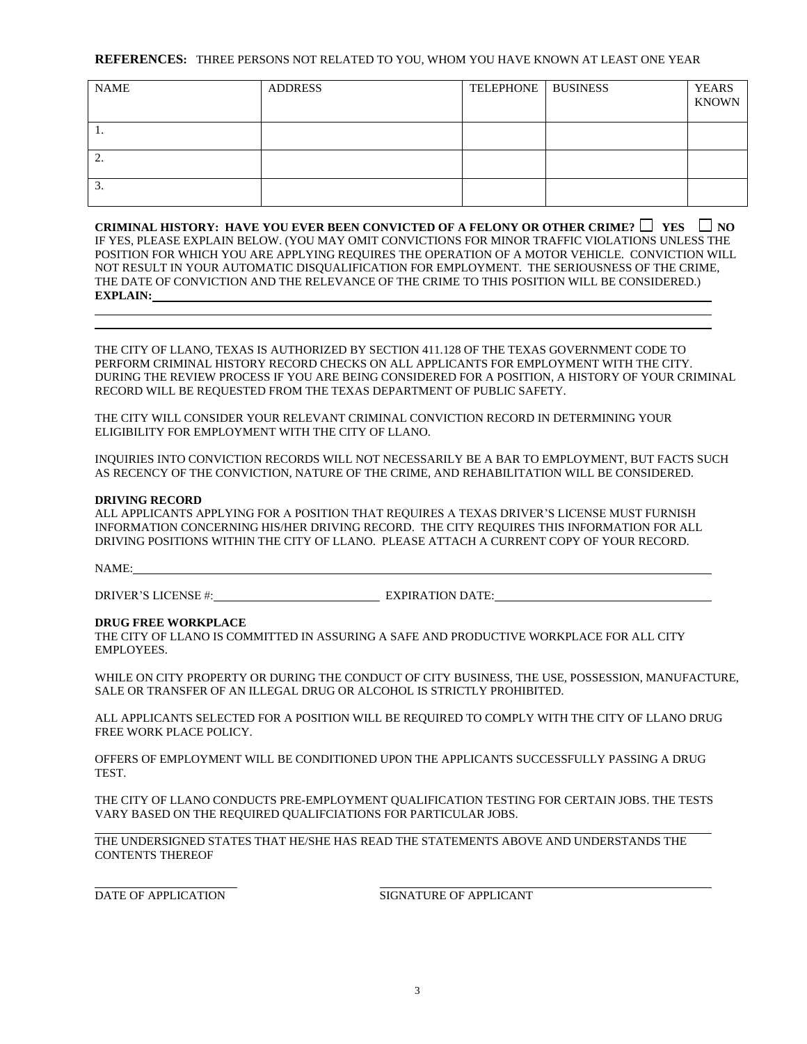#### **REFERENCES:** THREE PERSONS NOT RELATED TO YOU, WHOM YOU HAVE KNOWN AT LEAST ONE YEAR

| <b>NAME</b> | <b>ADDRESS</b> | TELEPHONE BUSINESS | <b>YEARS</b><br><b>KNOWN</b> |
|-------------|----------------|--------------------|------------------------------|
| 1.          |                |                    |                              |
| <u>L.</u>   |                |                    |                              |
| 3.          |                |                    |                              |

**CRIMINAL HISTORY: HAVE YOU EVER BEEN CONVICTED OF A FELONY OR OTHER CRIME?**  $\Box$  YES  $\Box$  NO IF YES, PLEASE EXPLAIN BELOW. (YOU MAY OMIT CONVICTIONS FOR MINOR TRAFFIC VIOLATIONS UNLESS THE POSITION FOR WHICH YOU ARE APPLYING REQUIRES THE OPERATION OF A MOTOR VEHICLE. CONVICTION WILL NOT RESULT IN YOUR AUTOMATIC DISQUALIFICATION FOR EMPLOYMENT. THE SERIOUSNESS OF THE CRIME, THE DATE OF CONVICTION AND THE RELEVANCE OF THE CRIME TO THIS POSITION WILL BE CONSIDERED.) **EXPLAIN:**

THE CITY OF LLANO, TEXAS IS AUTHORIZED BY SECTION 411.128 OF THE TEXAS GOVERNMENT CODE TO PERFORM CRIMINAL HISTORY RECORD CHECKS ON ALL APPLICANTS FOR EMPLOYMENT WITH THE CITY. DURING THE REVIEW PROCESS IF YOU ARE BEING CONSIDERED FOR A POSITION, A HISTORY OF YOUR CRIMINAL RECORD WILL BE REQUESTED FROM THE TEXAS DEPARTMENT OF PUBLIC SAFETY.

THE CITY WILL CONSIDER YOUR RELEVANT CRIMINAL CONVICTION RECORD IN DETERMINING YOUR ELIGIBILITY FOR EMPLOYMENT WITH THE CITY OF LLANO.

INQUIRIES INTO CONVICTION RECORDS WILL NOT NECESSARILY BE A BAR TO EMPLOYMENT, BUT FACTS SUCH AS RECENCY OF THE CONVICTION, NATURE OF THE CRIME, AND REHABILITATION WILL BE CONSIDERED.

#### **DRIVING RECORD**

ALL APPLICANTS APPLYING FOR A POSITION THAT REQUIRES A TEXAS DRIVER'S LICENSE MUST FURNISH INFORMATION CONCERNING HIS/HER DRIVING RECORD. THE CITY REQUIRES THIS INFORMATION FOR ALL DRIVING POSITIONS WITHIN THE CITY OF LLANO. PLEASE ATTACH A CURRENT COPY OF YOUR RECORD.

NAME:

DRIVER'S LICENSE #: EXPIRATION DATE:

#### **DRUG FREE WORKPLACE**

THE CITY OF LLANO IS COMMITTED IN ASSURING A SAFE AND PRODUCTIVE WORKPLACE FOR ALL CITY EMPLOYEES.

WHILE ON CITY PROPERTY OR DURING THE CONDUCT OF CITY BUSINESS, THE USE, POSSESSION, MANUFACTURE, SALE OR TRANSFER OF AN ILLEGAL DRUG OR ALCOHOL IS STRICTLY PROHIBITED.

ALL APPLICANTS SELECTED FOR A POSITION WILL BE REQUIRED TO COMPLY WITH THE CITY OF LLANO DRUG FREE WORK PLACE POLICY.

OFFERS OF EMPLOYMENT WILL BE CONDITIONED UPON THE APPLICANTS SUCCESSFULLY PASSING A DRUG **TEST.** 

THE CITY OF LLANO CONDUCTS PRE-EMPLOYMENT QUALIFICATION TESTING FOR CERTAIN JOBS. THE TESTS VARY BASED ON THE REQUIRED QUALIFCIATIONS FOR PARTICULAR JOBS.

THE UNDERSIGNED STATES THAT HE/SHE HAS READ THE STATEMENTS ABOVE AND UNDERSTANDS THE CONTENTS THEREOF

DATE OF APPLICATION SIGNATURE OF APPLICANT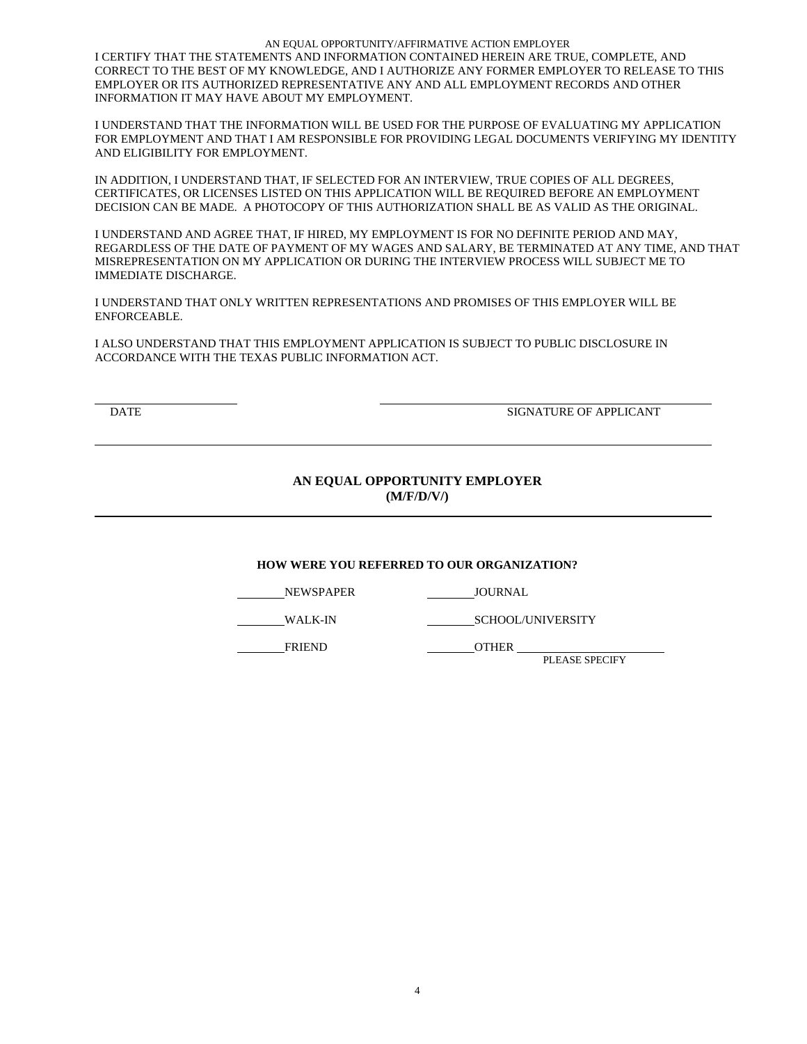AN EQUAL OPPORTUNITY/AFFIRMATIVE ACTION EMPLOYER I CERTIFY THAT THE STATEMENTS AND INFORMATION CONTAINED HEREIN ARE TRUE, COMPLETE, AND CORRECT TO THE BEST OF MY KNOWLEDGE, AND I AUTHORIZE ANY FORMER EMPLOYER TO RELEASE TO THIS EMPLOYER OR ITS AUTHORIZED REPRESENTATIVE ANY AND ALL EMPLOYMENT RECORDS AND OTHER INFORMATION IT MAY HAVE ABOUT MY EMPLOYMENT.

I UNDERSTAND THAT THE INFORMATION WILL BE USED FOR THE PURPOSE OF EVALUATING MY APPLICATION FOR EMPLOYMENT AND THAT I AM RESPONSIBLE FOR PROVIDING LEGAL DOCUMENTS VERIFYING MY IDENTITY AND ELIGIBILITY FOR EMPLOYMENT.

IN ADDITION, I UNDERSTAND THAT, IF SELECTED FOR AN INTERVIEW, TRUE COPIES OF ALL DEGREES, CERTIFICATES, OR LICENSES LISTED ON THIS APPLICATION WILL BE REQUIRED BEFORE AN EMPLOYMENT DECISION CAN BE MADE. A PHOTOCOPY OF THIS AUTHORIZATION SHALL BE AS VALID AS THE ORIGINAL.

I UNDERSTAND AND AGREE THAT, IF HIRED, MY EMPLOYMENT IS FOR NO DEFINITE PERIOD AND MAY, REGARDLESS OF THE DATE OF PAYMENT OF MY WAGES AND SALARY, BE TERMINATED AT ANY TIME, AND THAT MISREPRESENTATION ON MY APPLICATION OR DURING THE INTERVIEW PROCESS WILL SUBJECT ME TO IMMEDIATE DISCHARGE.

I UNDERSTAND THAT ONLY WRITTEN REPRESENTATIONS AND PROMISES OF THIS EMPLOYER WILL BE ENFORCEABLE.

I ALSO UNDERSTAND THAT THIS EMPLOYMENT APPLICATION IS SUBJECT TO PUBLIC DISCLOSURE IN ACCORDANCE WITH THE TEXAS PUBLIC INFORMATION ACT.

DATE SIGNATURE OF APPLICANT

## **AN EQUAL OPPORTUNITY EMPLOYER (M/F/D/V/)**

## **HOW WERE YOU REFERRED TO OUR ORGANIZATION?**

NEWSPAPER JOURNAL

WALK-IN SCHOOL/UNIVERSITY

FRIEND OTHER

PLEASE SPECIFY